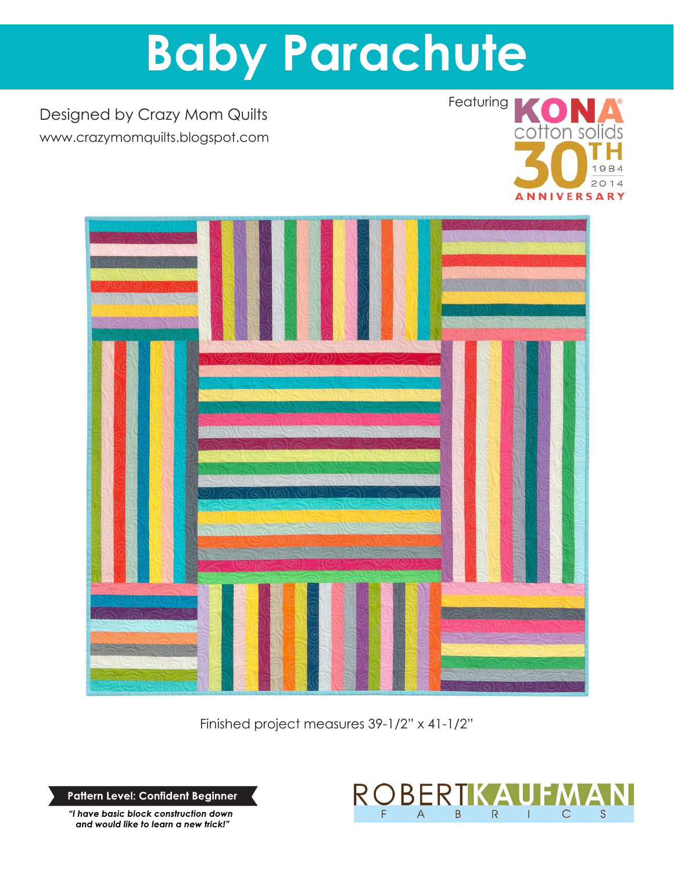# **Baby Parachute**

Designed by Crazy Mom Quilts www.crazymomquilts.blogspot.com





Finished project measures 39-1/2" x 41-1/2"

**Pattern Level: Confident Beginner**

*"I have basic block construction down and would like to learn a new trick!"*

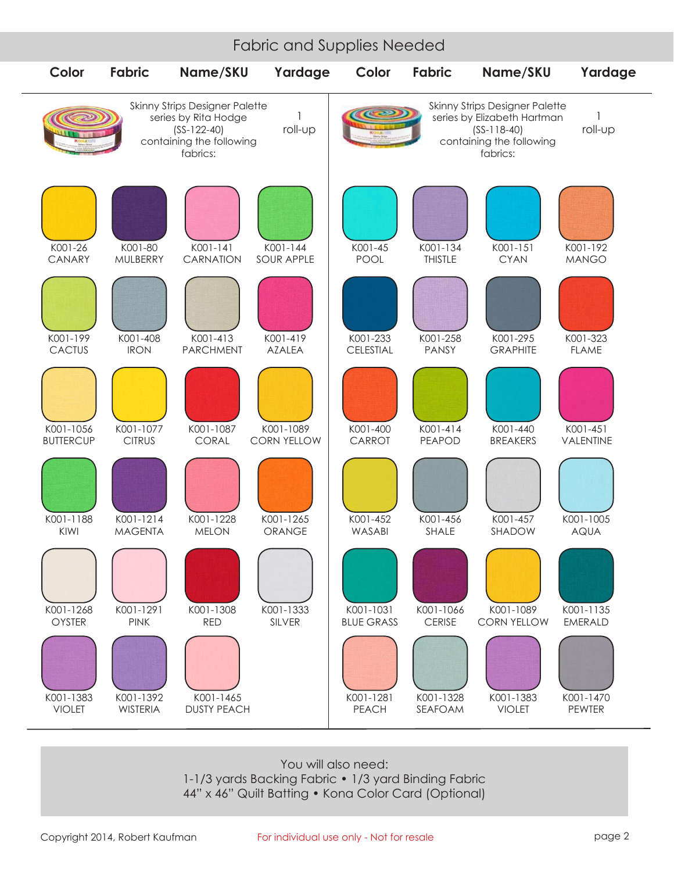#### Fabric and Supplies Needed



You will also need: 1-1/3 yards Backing Fabric • 1/3 yard Binding Fabric 44" x 46" Quilt Batting • Kona Color Card (Optional)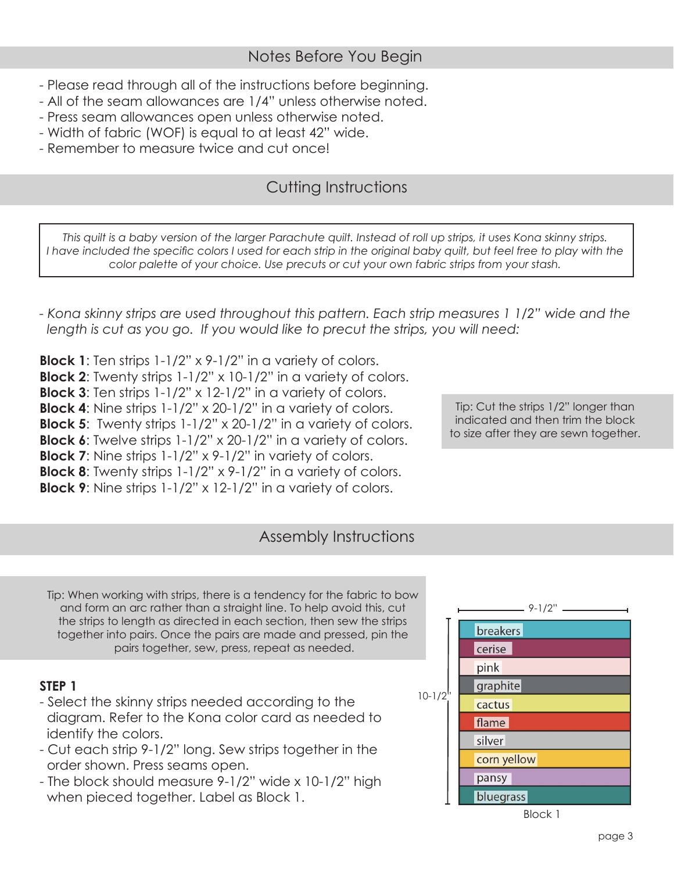- Please read through all of the instructions before beginning.
- All of the seam allowances are 1/4" unless otherwise noted.
- Press seam allowances open unless otherwise noted.
- Width of fabric (WOF) is equal to at least 42" wide.
- Remember to measure twice and cut once!

## Cutting Instructions

*This quilt is a baby version of the larger Parachute quilt. Instead of roll up strips, it uses Kona skinny strips. I have included the specific colors I used for each strip in the original baby quilt, but feel free to play with the color palette of your choice. Use precuts or cut your own fabric strips from your stash.*

*- Kona skinny strips are used throughout this pattern. Each strip measures 1 1/2" wide and the length is cut as you go. If you would like to precut the strips, you will need:*

**Block 1**: Ten strips 1-1/2" x 9-1/2" in a variety of colors. **Block 2**: Twenty strips 1-1/2" x 10-1/2" in a variety of colors. **Block 3**: Ten strips 1-1/2" x 12-1/2" in a variety of colors. **Block 4**: Nine strips 1-1/2" x 20-1/2" in a variety of colors. **Block 5**: Twenty strips 1-1/2" x 20-1/2" in a variety of colors. **Block 6**: Twelve strips 1-1/2" x 20-1/2" in a variety of colors. **Block 7**: Nine strips 1-1/2" x 9-1/2" in variety of colors. **Block 8**: Twenty strips 1-1/2" x 9-1/2" in a variety of colors. **Block 9**: Nine strips 1-1/2" x 12-1/2" in a variety of colors.

Tip: Cut the strips 1/2" longer than indicated and then trim the block to size after they are sewn together.

#### Assembly Instructions

Tip: When working with strips, there is a tendency for the fabric to bow and form an arc rather than a straight line. To help avoid this, cut the strips to length as directed in each section, then sew the strips together into pairs. Once the pairs are made and pressed, pin the pairs together, sew, press, repeat as needed.

#### **STEP 1**

- Select the skinny strips needed according to the diagram. Refer to the Kona color card as needed to identify the colors.
- Cut each strip 9-1/2" long. Sew strips together in the order shown. Press seams open.
- The block should measure 9-1/2" wide x 10-1/2" high when pieced together. Label as Block 1.

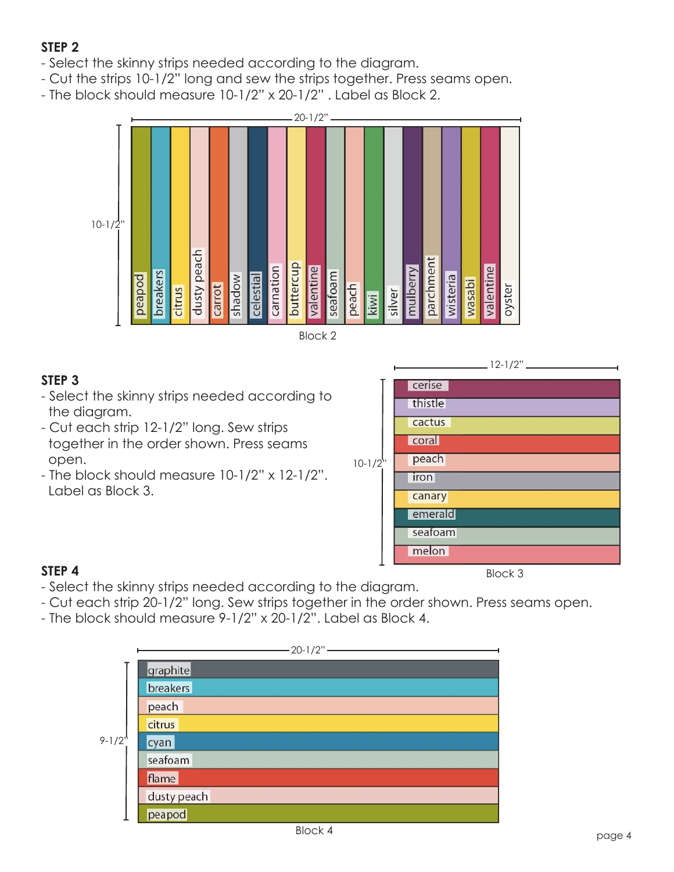### **STEP 2**

- Select the skinny strips needed according to the diagram.
- Cut the strips 10-1/2" long and sew the strips together. Press seams open.
- The block should measure 10-1/2" x 20-1/2" . Label as Block 2.





#### **STEP 3**

- Select the skinny strips needed according to the diagram.
- Cut each strip 12-1/2" long. Sew strips together in the order shown. Press seams open.
- The block should measure 10-1/2" x 12-1/2". Label as Block 3.



#### **STEP 4**

- Select the skinny strips needed according to the diagram.
- Cut each strip 20-1/2" long. Sew strips together in the order shown. Press seams open.
- The block should measure 9-1/2" x 20-1/2". Label as Block 4.

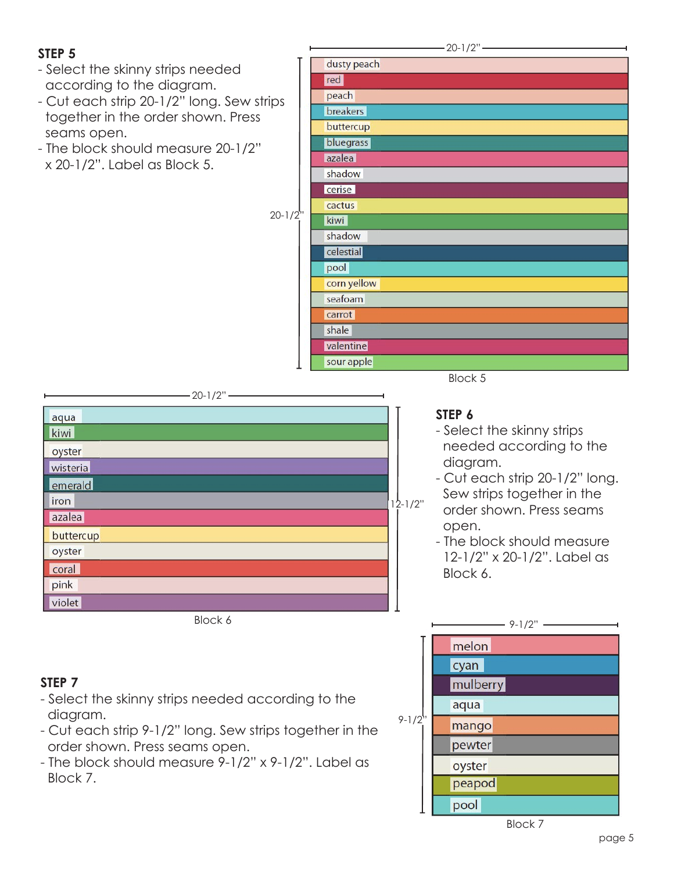#### **STEP 5**

- Select the skinny strips needed according to the diagram.
- Cut each strip 20-1/2" long. Sew strips together in the order shown. Press seams open.
- The block should measure 20-1/2" x 20-1/2". Label as Block 5.

 $20-1/2"$ 

|                     | dusty peach |
|---------------------|-------------|
|                     | red         |
| ips<br>$20 - 1/2$ " | peach       |
|                     | breakers    |
|                     | buttercup   |
|                     | bluegrass   |
|                     | azalea      |
|                     | shadow      |
|                     | cerise      |
|                     | cactus      |
|                     | kiwi        |
|                     | shadow      |
|                     | celestial   |
|                     | pool        |
|                     | corn yellow |
|                     | seafoam     |
|                     | carrot      |
|                     | shale       |
|                     | valentine   |
|                     | sour apple  |
|                     | Block 5     |



Block 6

#### **STEP 6**

- Select the skinny strips needed according to the diagram.
- Cut each strip 20-1/2" long. Sew strips together in the order shown. Press seams open.
- The block should measure 12-1/2" x 20-1/2". Label as Block 6.



#### **STEP 7**

- Select the skinny strips needed according to the diagram.
- Cut each strip 9-1/2" long. Sew strips together in the order shown. Press seams open.
- The block should measure 9-1/2" x 9-1/2". Label as Block 7.

Block 7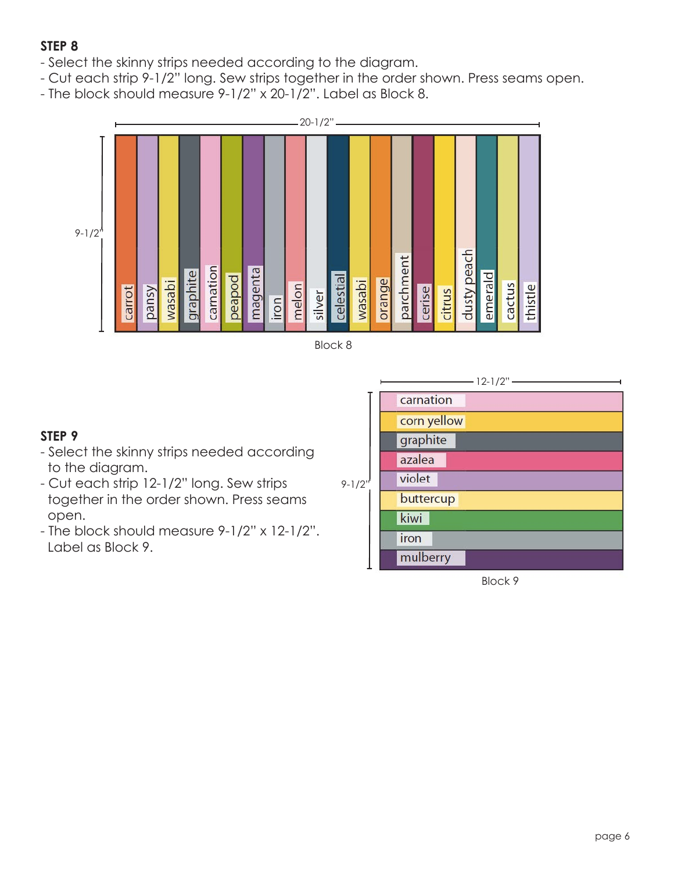#### **STEP 8**

- Select the skinny strips needed according to the diagram.
- Cut each strip 9-1/2" long. Sew strips together in the order shown. Press seams open.
- The block should measure 9-1/2" x 20-1/2". Label as Block 8.





#### **STEP 9**

- Select the skinny strips needed according to the diagram.
- Cut each strip 12-1/2" long. Sew strips together in the order shown. Press seams open.
- The block should measure 9-1/2" x 12-1/2". Label as Block 9.



Block 9